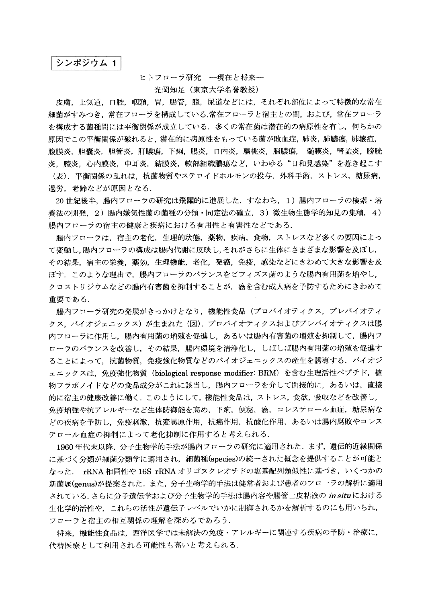## シンポジウム 1

## ヒトフローラ研究 一現在と将来一

光岡知足 (東京大学名誉教授)

皮膚、上気道、口腔、咽頭、胃、腸管、膣、尿道などには、それぞれ部位によって特徴的な常在 細菌がすみつき、常在フローラを構成している.常在フローラと宿主との間、および、常在フローラ を構成する菌種間には平衡関係が成立している.多くの常在菌は潜在的の病原性を有し.何らかの 原因でこの平衡関係が破れると、潜在的に病原性をもっている菌が敗血症、肺炎、肺膿瘍、肺壊疽、 腹膜炎,胆囊炎,胆管炎,肝膿瘍,下痢,腸炎,口内炎,扁桃炎,脳膿瘍, 髄膜炎,腎孟炎,膀胱 炎, 膣炎, 心内膜炎, 中耳炎, 結膜炎, 軟部組織膿瘍など, いわゆる"日和見感染"を惹き起こす (表). 平衡関係の乱れは、抗菌物質やステロイドホルモンの投与、外科手術、ストレス、糖尿病, 過労、老齢などが原因となる.

20世紀後半、腸内フローラの研究は飛躍的に進展した. すなわち、1)腸内フローラの検索・培 養法の開発, 2)腸内嫌気性菌の菌種の分類・同定法の確立, 3)微生物生態学的知見の集積, 4) 腸内フローラの宿主の健康と疾病における有用性と有害性などである.

腸内フローラは、宿主の老化、生理的状態、薬物、疾病、食物、ストレスなど多くの要因によっ て変動し,腸内フローラの構成は腸内代謝に反映し,それがさらに生体にさまざまな影響を及ぼし, その結果,宿主の栄養,薬効,生理機能,老化,発癌,免疫,感染などにきわめて大きな影響を及 ぼす. このような理由で、腸内フローラのバランスをビフィズス菌のような腸内有用菌を増やし, クロストリジウムなどの腸内有害菌を抑制することが、癌を含む成人病を予防するためにきわめて 重要である.

腸内フローラ研究の発展がきっかけとなり、機能性食品(プロバイオティクス、プレバイオティ クス, バイオジェニックス) が生まれた (図). プロバイオティクスおよびプレバイオティクスは腸 内フローラに作用し、腸内有用菌の増殖を促進し、あるいは腸内有害菌の増殖を抑制して、腸内フ ローラのバランスを改善し、その結果、腸内環境を清浄化し、しばしば腸内有用菌の増殖を促進す ることによって,抗菌物質,免疫強化物質などのバイオジェニックスの産生を誘導する.バイオジ ェニックスは、免疫強化物質 (biological response modifier: BRM) を含む生理活性ペプチド,植 物フラボノイドなどの食品成分がこれに該当し、腸内フローラを介して間接的に、あるいは、直接 的に宿主の健康改善に働く. このようにして、機能性食品は、ストレス、食欲、吸収などを改善し, 免疫増強や抗アレルギーなど生体防御能を高め、下痢、便秘、癌、コレステロール血症、糖尿病な どの疾病を予防し,免疫刺激,抗変異原作用,抗癌作用,抗酸化作用,あるいは腸内腐敗やコレス テロール血症の抑制によって老化抑制に作用すると考えられる.

1960年代末以降,分子生物学的手法が腸内フローラの研究に適用された. まず,遺伝的近縁関係 に基づく分類が細菌分類学に適用され、細菌種(species)の統一された概念を提供することが可能と なった. rRNA 相同性や 16S rRNA オリゴヌクレオチドの塩基配列類似性に基づき、いくつかの 新菌属(genus)が提案された. また、分子生物学的手法は健常者および患者のフローラの解析に適用 されている. さらに分子遺伝学および分子生物学的手法は腸内容や腸管上皮粘液の *in situ* における 生化学的活性や,これらの活性が遺伝子レベルでいかに制御されるかを解析するのにも用いられ, フローラと宿主の相互関係の理解を深めるであろう.

将来, 機能性食品は, 西洋医学では未解決の免疫・アレルギーに関連する疾病の予防・治療に, 代替医療として利用される可能性も高いと考えられる.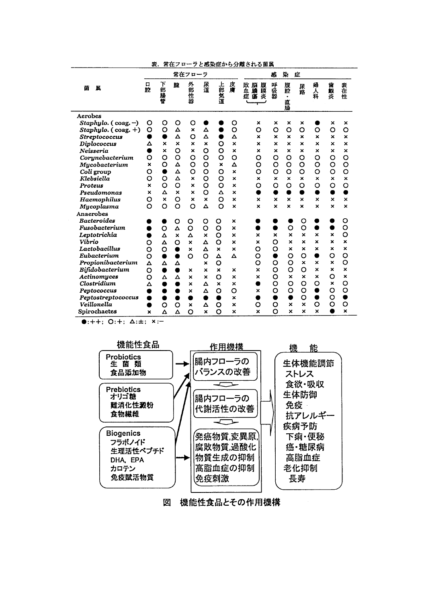|                          | 常在フローラ         |                           |                           |                           |                           |                           |                           | 感<br>染<br>症                                |                           |                           |                           |                           |         |                           |
|--------------------------|----------------|---------------------------|---------------------------|---------------------------|---------------------------|---------------------------|---------------------------|--------------------------------------------|---------------------------|---------------------------|---------------------------|---------------------------|---------|---------------------------|
| 蒥<br>属                   | 口<br>腔         | 下<br>部<br>腸管              | 麿                         | 外<br>部<br>性器              | 尿道                        | 上部<br>気道                  | 皮膚                        | 敗<br>脳<br>腹<br>ш'n<br><b>藤膜</b><br>藤炎<br>症 | 呼<br>吸器                   | 腹腔<br>$\bullet$<br>直腸     | 杘<br>路                    | 婦<br>人科                   | 歯<br>銀炎 | 表在性                       |
| Aerobes                  |                |                           |                           |                           |                           |                           |                           |                                            |                           |                           |                           |                           |         |                           |
| $Staphylo.$ (coag. $-$ ) | O              | O                         | O                         | O                         |                           |                           | O                         | $\boldsymbol{\mathsf{x}}$                  | ×                         | ×                         | ×                         |                           | ×       | ×                         |
| Staphylo. (coag. +)      | $\circ$        | O                         | Δ                         | ×                         | Δ                         |                           | $\circ$                   | O                                          | O                         | O                         | O                         | O                         | O       | O                         |
| Streptococcus            |                |                           | Δ                         | O                         | Δ                         |                           | Δ                         | ×                                          | ×                         | ×                         | ×                         | $\boldsymbol{\mathsf{x}}$ | ×       | $\boldsymbol{\times}$     |
| Diplococcus              | Δ              | ×                         | $\boldsymbol{\mathsf{x}}$ | $\boldsymbol{\mathsf{x}}$ | $\boldsymbol{\mathsf{x}}$ | O                         | $\boldsymbol{\mathsf{x}}$ | ×                                          | ×                         | ×                         | ×                         | ×                         | ×       | $\boldsymbol{\mathsf{x}}$ |
| Neisseria                |                | $\boldsymbol{\mathsf{x}}$ | Ō                         | $\boldsymbol{\mathsf{x}}$ | O                         | O                         | ×                         | $\boldsymbol{\mathsf{x}}$                  | $\boldsymbol{\mathsf{x}}$ | ×                         | $\boldsymbol{\mathsf{x}}$ | ×                         | ×       | $\mathbf x$               |
| Corynebacterium          | О              | O                         | O                         | O                         | $\circ$                   | O                         | $\circ$                   | O                                          | O                         | O                         | o                         | O                         | O       | O                         |
| Mycobacterium            | ×              | O                         | Δ                         | O                         | O                         | ×                         | Δ                         | $\circ$                                    | O                         | O                         | O                         | O                         | $\circ$ | $\circ$                   |
| Coli group               | O              | $\bullet$                 | Δ                         | O                         | O                         | O                         | ×                         | O                                          | Ó                         | O                         | O                         | O                         | O       | Ō                         |
| Klebsiella               | O              | O                         | Δ                         | $\boldsymbol{\mathsf{x}}$ | $\circ$                   | O                         | ×                         | ×                                          | ×                         | ×                         | ×                         | ×                         | ×       | $\boldsymbol{\mathsf{x}}$ |
| Proteus                  | ×              | O                         | O                         | ×                         | O                         | O                         | ×                         | O                                          | O                         | O                         | O                         | O                         | O       | Ō                         |
| Pseudomonas              | ×              | Δ                         | ×                         | ×                         | O                         | Δ                         | ×                         |                                            |                           |                           | ●                         |                           |         |                           |
| Haemophilus              | O              | $\boldsymbol{\mathsf{x}}$ | O                         | ×                         | ×                         | O                         | ×                         | ×                                          | $\mathbf x$               | ×                         | ×                         | ×                         | ×       | ×                         |
| Mycoplasma               | O              | Ō                         | O                         | O                         | Δ                         | O                         | ×                         | $\boldsymbol{\mathsf{x}}$                  | ×                         | $\boldsymbol{\mathsf{x}}$ | ×                         | ×                         | ×       | ×                         |
| Anaerobes                |                |                           |                           |                           |                           |                           |                           |                                            |                           |                           |                           |                           |         |                           |
| <b>Bacteroides</b>       |                |                           | О                         | O                         | O                         | O                         | ×                         |                                            |                           |                           | O                         |                           |         | O                         |
| Fusobacterium            |                | O                         | Δ                         | $\circ$                   | $\overline{O}$            | O                         | $\boldsymbol{\mathsf{x}}$ |                                            |                           | O                         | O                         |                           |         | O                         |
| Leptotrichia             |                | Δ                         | ×                         | Δ                         | ×                         | $\circ$                   | ×                         | ×                                          | ×                         | $\pmb{\times}$            | ×                         | ×                         | ×       | $\circ$                   |
| Vibrio                   | O              | Δ                         | $\circ$                   | ×                         | Δ                         | O                         | ×                         | ×                                          | $\circ$                   | $\boldsymbol{\mathsf{x}}$ | ×                         | ×                         | ×       | ×                         |
| Lactobacillus            | $\circ$        | O                         | $\bullet$                 | $\boldsymbol{\mathsf{x}}$ | Δ                         | ×                         | ×                         | O                                          | O                         | ×                         | ×                         | ×                         | ×       | ×                         |
| Eubacterium              | $\circ$        | $\bullet$                 | ●                         | O                         | $\circ$                   | Δ                         | Δ                         | O                                          |                           | O                         | O                         | O                         | O       | $\circ$                   |
| Propionibacterium        | Δ              | Δ                         | Δ                         |                           | ×                         | Ō                         |                           | $\circ$                                    | O                         | O                         | ×                         | ×                         | ×       | $\circ$                   |
| Bifidobacterium          | O              | $\bullet$                 |                           | ×                         | ×                         | ×                         | $\pmb{\times}$            | ×                                          | O                         | O                         | O                         | ×                         | ×       | ×                         |
| Actinomyces              | $\overline{O}$ | Δ                         | Δ                         | $\boldsymbol{\mathsf{x}}$ | ×                         | O                         | ×                         | ×                                          | $\circ$                   | $\boldsymbol{\mathsf{x}}$ | ×                         | ×                         | O       | $\boldsymbol{\mathsf{x}}$ |
| Clostridium              | Δ              |                           |                           | ×                         | Δ                         | $\boldsymbol{\mathsf{x}}$ | ×                         |                                            | $\circ$                   | O                         | $\circ$                   | O                         | ×       | $\circ$                   |
| Peptococcus              |                |                           |                           | ×                         | Δ                         | О                         | O                         | ×                                          | $\overline{O}$            | O                         | O                         | $\bullet$                 | $\circ$ | $\circ$                   |
| Peptostreptococcus       |                |                           |                           | ۸                         |                           | 0                         | $\boldsymbol{\mathsf{x}}$ |                                            | $\bullet$                 | 0                         | O                         | ●                         | $\circ$ | $\bullet$                 |
| Veillonella              |                | O                         | O                         | ×                         | Δ                         | O                         | ×                         | O                                          | O                         | $\boldsymbol{\mathsf{x}}$ | $\boldsymbol{\mathsf{x}}$ | O                         | $\circ$ | $\circ$                   |
| Spirochaetes             | ×              | Δ                         | Δ                         | O                         | ×                         | O                         | $\boldsymbol{\mathsf{x}}$ | ×                                          | $\Omega$                  | $\mathbf x$               | ×                         | ×                         |         | $\mathbf{x}$              |

表. 常在フローラと感染症から分離される菌属

 $\bullet$ :++; O:+;  $\Delta$ :±; x:-



図 機能性食品とその作用機構